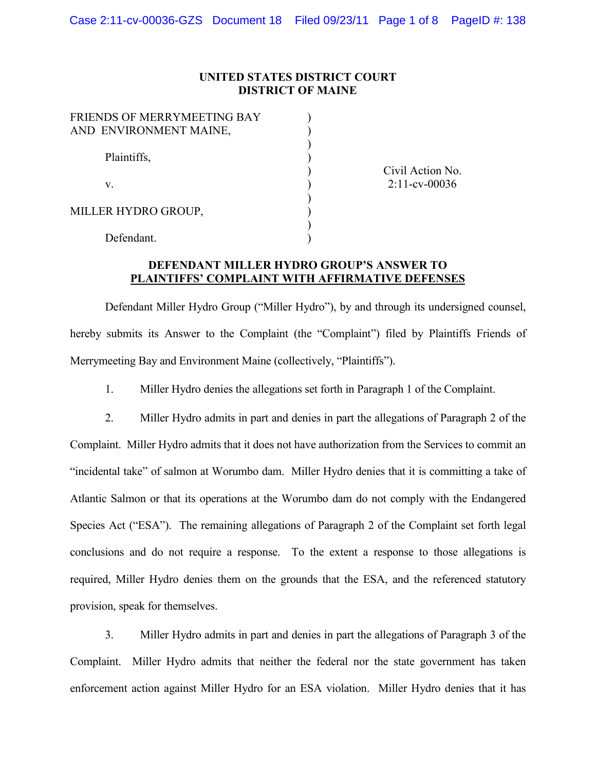### **UNITED STATES DISTRICT COURT DISTRICT OF MAINE**

) ) ) ) ) ) ) ) ) )

| FRIENDS OF MERRYMEETING BAY<br>AND ENVIRONMENT MAINE, |  |
|-------------------------------------------------------|--|
| Plaintiffs,                                           |  |
| V                                                     |  |
| MILLER HYDRO GROUP,                                   |  |
| Defendant.                                            |  |

Civil Action No. 2:11-cv-00036

## **DEFENDANT MILLER HYDRO GROUP'S ANSWER TO PLAINTIFFS' COMPLAINT WITH AFFIRMATIVE DEFENSES**

Defendant Miller Hydro Group ("Miller Hydro"), by and through its undersigned counsel, hereby submits its Answer to the Complaint (the "Complaint") filed by Plaintiffs Friends of Merrymeeting Bay and Environment Maine (collectively, "Plaintiffs").

1. Miller Hydro denies the allegations set forth in Paragraph 1 of the Complaint.

2. Miller Hydro admits in part and denies in part the allegations of Paragraph 2 of the Complaint. Miller Hydro admits that it does not have authorization from the Services to commit an "incidental take" of salmon at Worumbo dam. Miller Hydro denies that it is committing a take of Atlantic Salmon or that its operations at the Worumbo dam do not comply with the Endangered Species Act ("ESA"). The remaining allegations of Paragraph 2 of the Complaint set forth legal conclusions and do not require a response. To the extent a response to those allegations is required, Miller Hydro denies them on the grounds that the ESA, and the referenced statutory provision, speak for themselves.

3. Miller Hydro admits in part and denies in part the allegations of Paragraph 3 of the Complaint. Miller Hydro admits that neither the federal nor the state government has taken enforcement action against Miller Hydro for an ESA violation. Miller Hydro denies that it has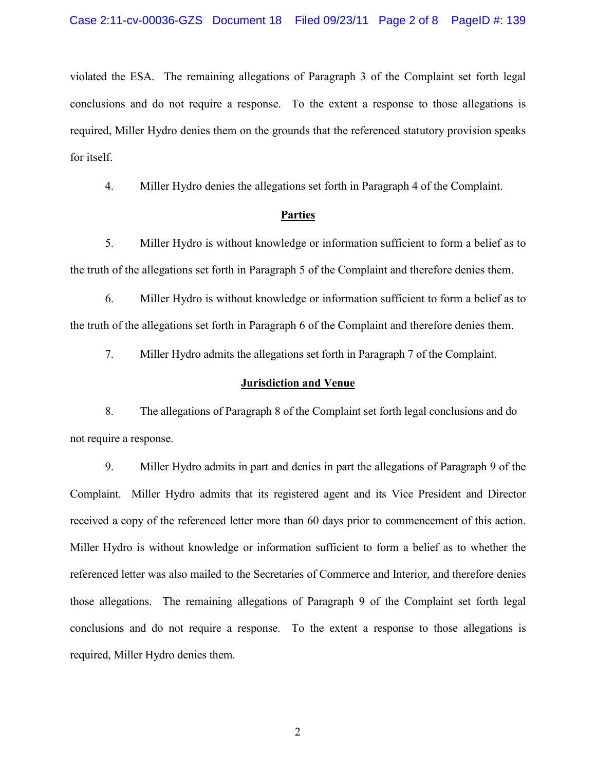violated the ESA. The remaining allegations of Paragraph 3 of the Complaint set forth legal conclusions and do not require a response. To the extent a response to those allegations is required, Miller Hydro denies them on the grounds that the referenced statutory provision speaks for itself.

4. Miller Hydro denies the allegations set forth in Paragraph 4 of the Complaint.

#### **Parties**

5. Miller Hydro is without knowledge or information sufficient to form a belief as to the truth of the allegations set forth in Paragraph 5 of the Complaint and therefore denies them.

6. Miller Hydro is without knowledge or information sufficient to form a belief as to the truth of the allegations set forth in Paragraph 6 of the Complaint and therefore denies them.

7. Miller Hydro admits the allegations set forth in Paragraph 7 of the Complaint.

#### **Jurisdiction and Venue**

8. The allegations of Paragraph 8 of the Complaint set forth legal conclusions and do not require a response.

9. Miller Hydro admits in part and denies in part the allegations of Paragraph 9 of the Complaint. Miller Hydro admits that its registered agent and its Vice President and Director received a copy of the referenced letter more than 60 days prior to commencement of this action. Miller Hydro is without knowledge or information sufficient to form a belief as to whether the referenced letter was also mailed to the Secretaries of Commerce and Interior, and therefore denies those allegations. The remaining allegations of Paragraph 9 of the Complaint set forth legal conclusions and do not require a response. To the extent a response to those allegations is required, Miller Hydro denies them.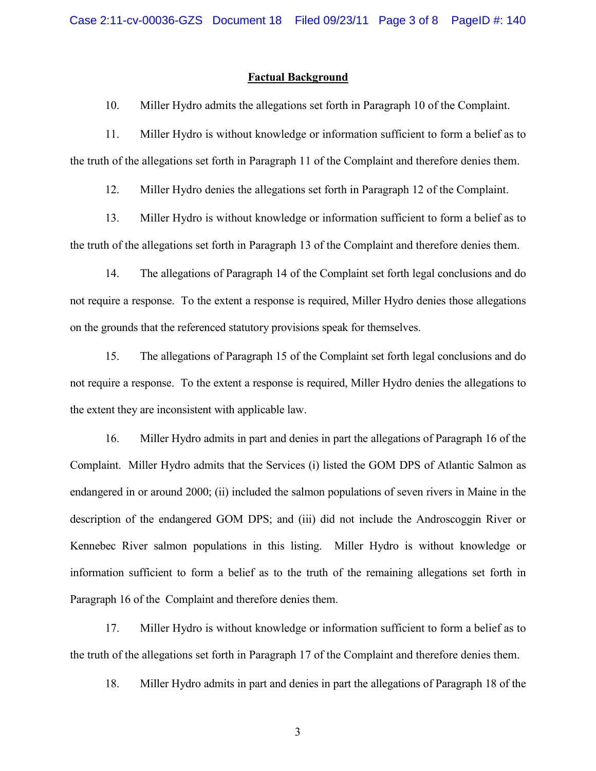#### **Factual Background**

10. Miller Hydro admits the allegations set forth in Paragraph 10 of the Complaint.

11. Miller Hydro is without knowledge or information sufficient to form a belief as to the truth of the allegations set forth in Paragraph 11 of the Complaint and therefore denies them.

12. Miller Hydro denies the allegations set forth in Paragraph 12 of the Complaint.

13. Miller Hydro is without knowledge or information sufficient to form a belief as to the truth of the allegations set forth in Paragraph 13 of the Complaint and therefore denies them.

14. The allegations of Paragraph 14 of the Complaint set forth legal conclusions and do not require a response. To the extent a response is required, Miller Hydro denies those allegations on the grounds that the referenced statutory provisions speak for themselves.

15. The allegations of Paragraph 15 of the Complaint set forth legal conclusions and do not require a response. To the extent a response is required, Miller Hydro denies the allegations to the extent they are inconsistent with applicable law.

16. Miller Hydro admits in part and denies in part the allegations of Paragraph 16 of the Complaint. Miller Hydro admits that the Services (i) listed the GOM DPS of Atlantic Salmon as endangered in or around 2000; (ii) included the salmon populations of seven rivers in Maine in the description of the endangered GOM DPS; and (iii) did not include the Androscoggin River or Kennebec River salmon populations in this listing. Miller Hydro is without knowledge or information sufficient to form a belief as to the truth of the remaining allegations set forth in Paragraph 16 of the Complaint and therefore denies them.

17. Miller Hydro is without knowledge or information sufficient to form a belief as to the truth of the allegations set forth in Paragraph 17 of the Complaint and therefore denies them.

18. Miller Hydro admits in part and denies in part the allegations of Paragraph 18 of the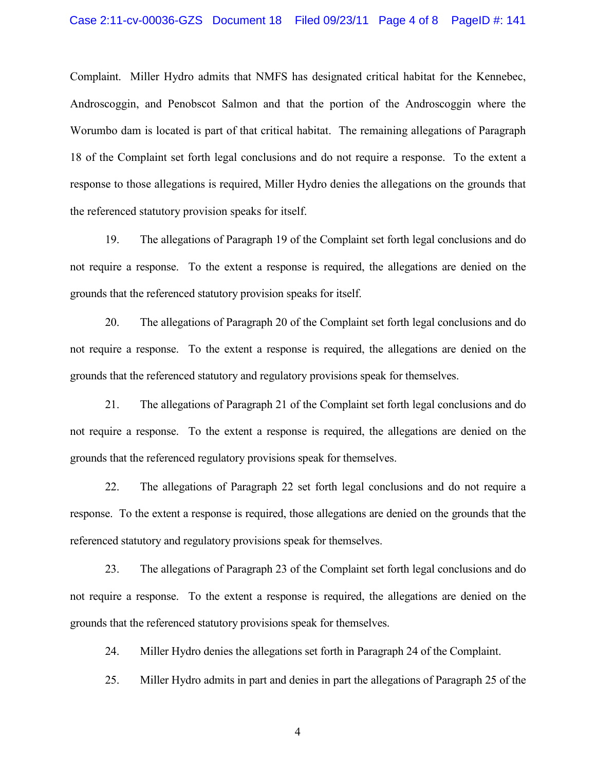Complaint. Miller Hydro admits that NMFS has designated critical habitat for the Kennebec, Androscoggin, and Penobscot Salmon and that the portion of the Androscoggin where the Worumbo dam is located is part of that critical habitat. The remaining allegations of Paragraph 18 of the Complaint set forth legal conclusions and do not require a response. To the extent a response to those allegations is required, Miller Hydro denies the allegations on the grounds that the referenced statutory provision speaks for itself.

19. The allegations of Paragraph 19 of the Complaint set forth legal conclusions and do not require a response. To the extent a response is required, the allegations are denied on the grounds that the referenced statutory provision speaks for itself.

20. The allegations of Paragraph 20 of the Complaint set forth legal conclusions and do not require a response. To the extent a response is required, the allegations are denied on the grounds that the referenced statutory and regulatory provisions speak for themselves.

21. The allegations of Paragraph 21 of the Complaint set forth legal conclusions and do not require a response. To the extent a response is required, the allegations are denied on the grounds that the referenced regulatory provisions speak for themselves.

22. The allegations of Paragraph 22 set forth legal conclusions and do not require a response. To the extent a response is required, those allegations are denied on the grounds that the referenced statutory and regulatory provisions speak for themselves.

23. The allegations of Paragraph 23 of the Complaint set forth legal conclusions and do not require a response. To the extent a response is required, the allegations are denied on the grounds that the referenced statutory provisions speak for themselves.

24. Miller Hydro denies the allegations set forth in Paragraph 24 of the Complaint.

25. Miller Hydro admits in part and denies in part the allegations of Paragraph 25 of the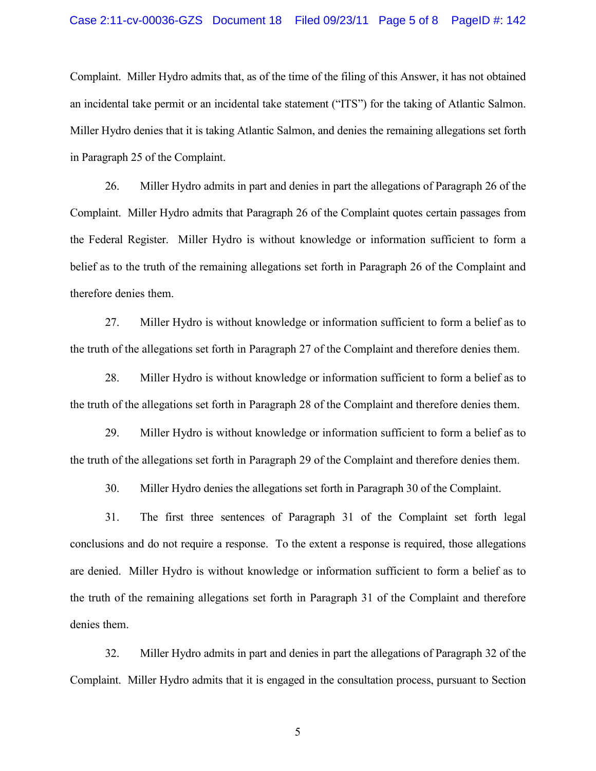#### Case 2:11-cv-00036-GZS Document 18 Filed 09/23/11 Page 5 of 8 PageID #: 142

Complaint. Miller Hydro admits that, as of the time of the filing of this Answer, it has not obtained an incidental take permit or an incidental take statement ("ITS") for the taking of Atlantic Salmon. Miller Hydro denies that it is taking Atlantic Salmon, and denies the remaining allegations set forth in Paragraph 25 of the Complaint.

26. Miller Hydro admits in part and denies in part the allegations of Paragraph 26 of the Complaint. Miller Hydro admits that Paragraph 26 of the Complaint quotes certain passages from the Federal Register. Miller Hydro is without knowledge or information sufficient to form a belief as to the truth of the remaining allegations set forth in Paragraph 26 of the Complaint and therefore denies them.

27. Miller Hydro is without knowledge or information sufficient to form a belief as to the truth of the allegations set forth in Paragraph 27 of the Complaint and therefore denies them.

28. Miller Hydro is without knowledge or information sufficient to form a belief as to the truth of the allegations set forth in Paragraph 28 of the Complaint and therefore denies them.

29. Miller Hydro is without knowledge or information sufficient to form a belief as to the truth of the allegations set forth in Paragraph 29 of the Complaint and therefore denies them.

30. Miller Hydro denies the allegations set forth in Paragraph 30 of the Complaint.

31. The first three sentences of Paragraph 31 of the Complaint set forth legal conclusions and do not require a response. To the extent a response is required, those allegations are denied. Miller Hydro is without knowledge or information sufficient to form a belief as to the truth of the remaining allegations set forth in Paragraph 31 of the Complaint and therefore denies them.

32. Miller Hydro admits in part and denies in part the allegations of Paragraph 32 of the Complaint. Miller Hydro admits that it is engaged in the consultation process, pursuant to Section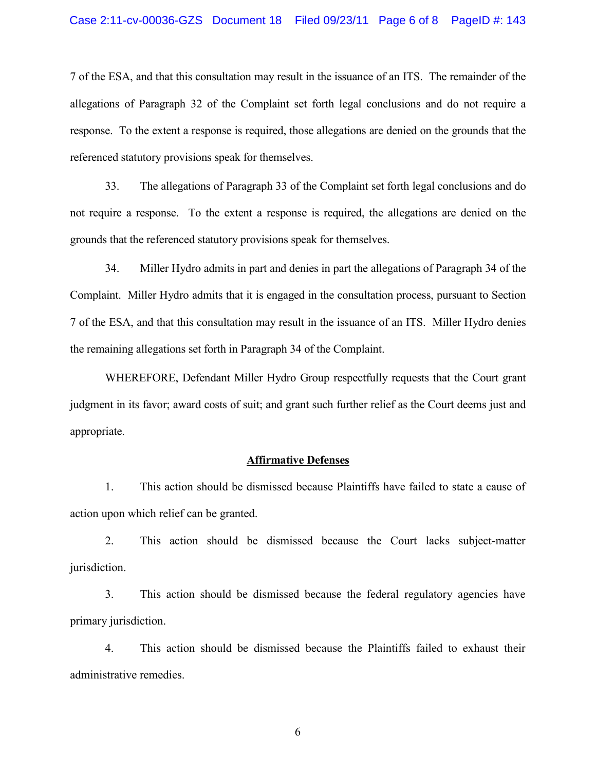#### Case 2:11-cv-00036-GZS Document 18 Filed 09/23/11 Page 6 of 8 PageID #: 143

7 of the ESA, and that this consultation may result in the issuance of an ITS. The remainder of the allegations of Paragraph 32 of the Complaint set forth legal conclusions and do not require a response. To the extent a response is required, those allegations are denied on the grounds that the referenced statutory provisions speak for themselves.

33. The allegations of Paragraph 33 of the Complaint set forth legal conclusions and do not require a response. To the extent a response is required, the allegations are denied on the grounds that the referenced statutory provisions speak for themselves.

34. Miller Hydro admits in part and denies in part the allegations of Paragraph 34 of the Complaint. Miller Hydro admits that it is engaged in the consultation process, pursuant to Section 7 of the ESA, and that this consultation may result in the issuance of an ITS. Miller Hydro denies the remaining allegations set forth in Paragraph 34 of the Complaint.

WHEREFORE, Defendant Miller Hydro Group respectfully requests that the Court grant judgment in its favor; award costs of suit; and grant such further relief as the Court deems just and appropriate.

## **Affirmative Defenses**

1. This action should be dismissed because Plaintiffs have failed to state a cause of action upon which relief can be granted.

2. This action should be dismissed because the Court lacks subject-matter jurisdiction.

3. This action should be dismissed because the federal regulatory agencies have primary jurisdiction.

4. This action should be dismissed because the Plaintiffs failed to exhaust their administrative remedies.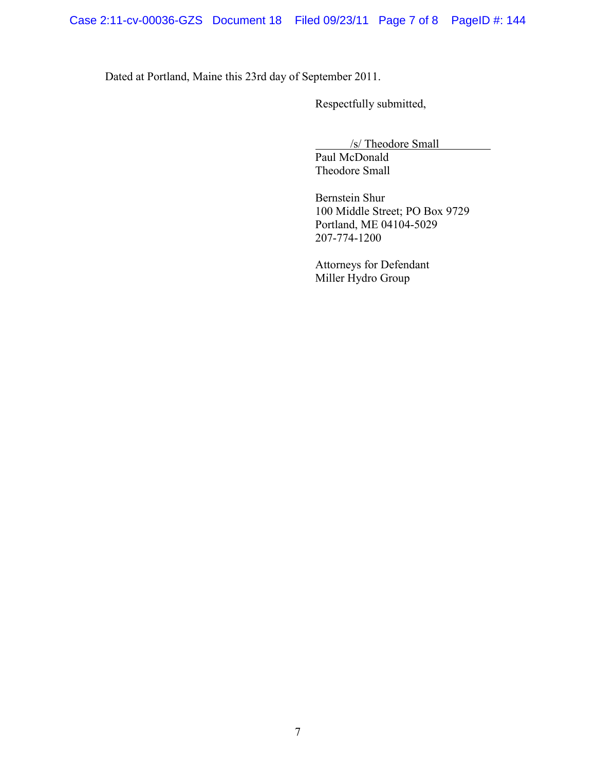Dated at Portland, Maine this 23rd day of September 2011.

Respectfully submitted,

/s/ Theodore Small

Paul McDonald Theodore Small

Bernstein Shur 100 Middle Street; PO Box 9729 Portland, ME 04104-5029 207-774-1200

Attorneys for Defendant Miller Hydro Group